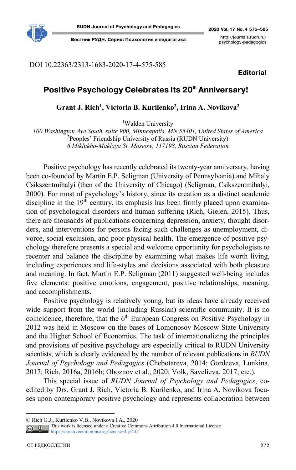

**Вестник РУДН. Серия: Психология и педагогика** http://journals.rudn.ru/

psychology-pedagogics

DOI 10.22363/2313-1683-2020-17-4-575-585

**Editorial**

# Positive Psychology Celebrates its 20<sup>th</sup> Anniversary!

**Grant J. Rich1, Victoria B. Kurilenko2, Irina A. Novikova2**

<sup>1</sup>Walden University

*100 Washington Ave South, suite 900, Minneapolis, MN 55401, United States of America*  <sup>2</sup>Peoples' Friendship University of Russia (RUDN University) *6 Miklukho-Maklaya St, Moscow, 117198, Russian Federation* 

Positive psychology has recently celebrated its twenty-year anniversary, having been co-founded by Martin E.P. Seligman (University of Pennsylvania) and Mihaly Csikszentmihalyi (then of the University of Chicago) (Seligman, Csikszentmihalyi, 2000). For most of psychology's history, since its creation as a distinct academic discipline in the  $19<sup>th</sup>$  century, its emphasis has been firmly placed upon examination of psychological disorders and human suffering (Rich, Gielen, 2015). Thus, there are thousands of publications concerning depression, anxiety, thought disorders, and interventions for persons facing such challenges as unemployment, divorce, social exclusion, and poor physical health. The emergence of positive psychology therefore presents a special and welcome opportunity for psychologists to recenter and balance the discipline by examining what makes life worth living, including experiences and life-styles and decisions associated with both pleasure and meaning. In fact, Martin E.P. Seligman (2011) suggested well-being includes five elements: positive emotions, engagement, positive relationships, meaning, and accomplishments.

Positive psychology is relatively young, but its ideas have already received wide support from the world (including Russian) scientific community. It is no coincidence, therefore, that the  $6<sup>th</sup>$  European Congress on Positive Psychology in 2012 was held in Moscow on the bases of Lomonosov Moscow State University and the Higher School of Economics. The task of internationalizing the principles and provisions of positive psychology are especially critical to RUDN University scientists, which is clearly evidenced by the number of relevant publications in *RUDN Journal of Psychology and Pedagogics* (Chebotareva, 2014; Gordeeva, Lunkina, 2017; Rich, 2016a, 2016b; Oboznov et al., 2020; Volk, Savelieva, 2017; etc.).

This special issue of *RUDN Journal of Psychology and Pedagogics*, coedited by Drs. Grant J. Rich, Victoria B. Kurilenko, and Irina A. Novikova focuses upon contemporary positive psychology and represents collaboration between

 $\overline{a}$ 

<sup>©</sup> Rich G.J., Kurilenko V.B., Novikova I.A., 2020

This work is licensed under a Creative Commons Attribution 4.0 International License  $\overline{G}$ https://creativecommons.org/licenses/by/4.0/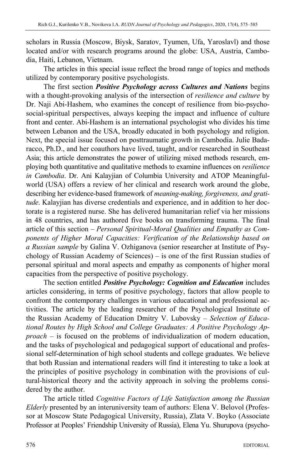scholars in Russia (Moscow, Biysk, Saratov, Tyumen, Ufa, Yaroslavl) and those located and/or with research programs around the globe: USA, Austria, Cambodia, Haiti, Lebanon, Vietnam.

The articles in this special issue reflect the broad range of topics and methods utilized by contemporary positive psychologists.

The first section *Positive Psychology across Cultures and Nations* begins with a thought-provoking analysis of the intersection of *resilience and culture* by Dr. Naji Abi-Hashem, who examines the concept of resilience from bio-psychosocial-spiritual perspectives, always keeping the impact and influence of culture front and center. Abi-Hashem is an international psychologist who divides his time between Lebanon and the USA, broadly educated in both psychology and religion. Next, the special issue focused on posttraumatic growth in Cambodia. Julie Badaracco, Ph.D., and her coauthors have lived, taught, and/or researched in Southeast Asia; this article demonstrates the power of utilizing mixed methods research, employing both quantitative and qualitative methods to examine influences on *resilience in Cambodia*. Dr. Ani Kalayjian of Columbia University and ATOP Meaningfulworld (USA) offers a review of her clinical and research work around the globe, describing her evidence-based framework of *meaning-making, forgiveness, and gratitude*. Kalayjian has diverse credentials and experience, and in addition to her doctorate is a registered nurse. She has delivered humanitarian relief via her missions in 48 countries, and has authored five books on transforming trauma. The final article of this section – *Personal Spiritual-Moral Qualities and Empathy as Components of Higher Moral Capacities: Verification of the Relationship based on a Russian sample* by Galina V. Ozhiganova (senior researcher at Institute of Psychology of Russian Academy of Sciences) – is one of the first Russian studies of personal spiritual and moral aspects and empathy as components of higher moral capacities from the perspective of positive psychology.

The section entitled *Positive Psychology: Cognition and Education* includes articles considering, in terms of positive psychology, factors that allow people to confront the contemporary challenges in various educational and professional activities. The article by the leading researcher of the Psychological Institute of the Russian Academy of Education Dmitry V. Lubovsky – *Selection of Educational Routes by High School and College Graduates: A Positive Psychology Approach* – is focused on the problems of individualization of modern education, and the tasks of psychological and pedagogical support of educational and professional self-determination of high school students and college graduates. We believe that both Russian and international readers will find it interesting to take a look at the principles of positive psychology in combination with the provisions of cultural-historical theory and the activity approach in solving the problems considered by the author.

The article titled *Cognitive Factors of Life Satisfaction among the Russian Elderly* presented by an interuniversity team of authors: Elena V. Belovol (Professor at Moscow State Pedagogical University, Russia), Zlata V. Boyko (Associate Professor at Peoples' Friendship University of Russia), Elena Yu. Shurupova (psycho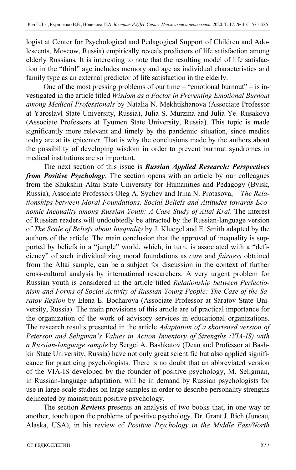logist at Center for Psychological and Pedagogical Support of Children and Adolescents, Moscow, Russia) empirically reveals predictors of life satisfaction among elderly Russians*.* It is interesting to note that the resulting model of life satisfaction in the "third" age includes memory and age as individual characteristics and family type as an external predictor of life satisfaction in the elderly.

One of the most pressing problems of our time – "emotional burnout" – is investigated in the article titled *Wisdom as a Factor in Preventing Emotional Burnout among Medical Professionals* by Natalia N. Mekhtikhanova (Associate Professor at Yaroslavl State University, Russia), Julia S. Murzina and Julia Ye. Rusakova (Associate Professors at Tyumen State University, Russia). This topic is made significantly more relevant and timely by the pandemic situation, since medics today are at its epicenter*.* That is why the conclusions made by the authors about the possibility of developing wisdom in order to prevent burnout syndromes in medical institutions are so important.

The next section of this issue is *Russian Applied Research: Perspectives from Positive Psychology*. The section opens with an article by our colleagues from the Shukshin Altai State University for Humanities and Pedagogy (Byisk, Russia), Associate Professors Oleg A. Sychev and Irina N. Protasova, – *The Relationships between Moral Foundations, Social Beliefs and Attitudes towards Economic Inequality among Russian Youth: A Case Study of Altai Krai*. The interest of Russian readers will undoubtedly be attracted by the Russian-language version of *The Scale of Beliefs about Inequality* by J. Kluegel and E. Smith adapted by the authors of the article. The main conclusion that the approval of inequality is supported by beliefs in a "jungle" world, which, in turn, is associated with a "deficiency" of such individualizing moral foundations as *care* and *fairness* obtained from the Altai sample, can be a subject for discussion in the context of further cross-cultural analysis by international researchers. A very urgent problem for Russian youth is considered in the article titled *Relationship between Perfectionism and Forms of Social Activity of Russian Young People: The Case of the Saratov Region* by Elena E. Bocharova (Associate Professor at Saratov State University, Russia). The main provisions of this article are of practical importance for the organization of the work of advisory services in educational organizations. The research results presented in the article *Adaptation of a shortened version of Peterson and Seligman's Values in Action Inventory of Strengths (VIA-IS) with a Russian-language sample* by Sergei A. Bashkatov (Dean and Professor at Bashkir State University, Russia) have not only great scientific but also applied significance for practicing psychologists. There is no doubt that an abbreviated version of the VIA-IS developed by the founder of positive psychology, M. Seligman, in Russian-language adaptation, will be in demand by Russian psychologists for use in large-scale studies on large samples in order to describe personality strengths delineated by mainstream positive psychology.

The section *Reviews* presents an analysis of two books that, in one way or another, touch upon the problems of positive psychology. Dr. Grant J. Rich (Juneau, Alaska, USA), in his review of *Positive Psychology in the Middle East/North*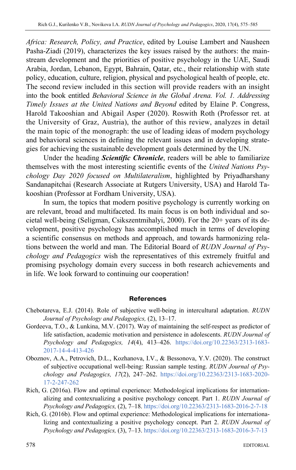*Africa: Research, Policy, and Practice*, edited by Louise Lambert and Nausheen Pasha-Ziadi (2019), characterizes the key issues raised by the authors: the mainstream development and the priorities of positive psychology in the UAE, Saudi Arabia, Jordan, Lebanon, Egypt, Bahrain, Qatar, etc., their relationship with state policy, education, culture, religion, physical and psychological health of people, etc. The second review included in this section will provide readers with an insight into the book entitled *Behavioral Science in the Global Arena. Vol. 1. Addressing Timely Issues at the United Nations and Beyond* edited by Elaine P. Congress, Harold Takooshian and Abigail Asper (2020). Roswith Roth (Professor ret. at the University of Graz, Austria), the author of this review, analyzes in detail the main topic of the monograph: the use of leading ideas of modern psychology and behavioral sciences in defining the relevant issues and in developing strategies for achieving the sustainable development goals determined by the UN.

Under the heading *Scientific Chronicle*, readers will be able to familiarize themselves with the most interesting scientific events of the *United Nations Psychology Day 2020 focused on Multilateralism*, highlighted by Priyadharshany Sandanapitchai (Research Associate at Rutgers University, USA) and Harold Takooshian (Professor at Fordham University, USA).

In sum, the topics that modern positive psychology is currently working on are relevant, broad and multifaceted. Its main focus is on both individual and societal well-being (Seligman, Csikszentmihalyi, 2000). For the 20+ years of its development, positive psychology has accomplished much in terms of developing a scientific consensus on methods and approach, and towards harmonizing relations between the world and man. The Editorial Board of *RUDN Journal of Psychology and Pedagogics* wish the representatives of this extremely fruitful and promising psychology domain every success in both research achievements and in life. We look forward to continuing our cooperation!

## **References**

- Chebotareva, E.J. (2014). Role of subjective well-being in intercultural adaptation. *RUDN Journal of Psychology and Pedagogics,* (2), 13–17.
- Gordeeva, T.O., & Lunkina, M.V. (2017). Way of maintaining the self-respect as predictor of life satisfaction, academic motivation and persistence in adolescents. *RUDN Journal of Psychology and Pedagogics, 14*(4), 413–426. https://doi.org/10.22363/2313-1683- 2017-14-4-413-426
- Oboznov, A.A., Petrovich, D.L., Kozhanova, I.V., & Bessonova, Y.V. (2020). The construct of subjective occupational well-being: Russian sample testing. *RUDN Journal of Psychology and Pedagogics, 17*(2), 247–262. https://doi.org/10.22363/2313-1683-2020- 17-2-247-262
- Rich, G. (2016a). Flow and optimal experience: Methodological implications for internationalizing and contexrualizing a positive psychology concept. Part 1. *RUDN Journal of Psychology and Pedagogics,* (2), 7–18. https://doi.org/10.22363/2313-1683-2016-2-7-18
- Rich, G. (2016b). Flow and optimal experience: Methodological implications for internationalizing and contextualizing a positive psychology concept. Part 2. *RUDN Journal of Psychology and Pedagogics,* (3), 7–13. https://doi.org/10.22363/2313-1683-2016-3-7-13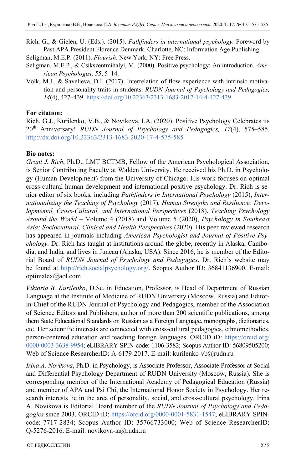Rich, G., & Gielen, U. (Eds.). (2015). *Pathfinders in international psychology.* Foreword by Past APA President Florence Denmark. Charlotte, NC: Information Age Publishing.

Seligman, M.E.P. (2011). *Flourish*. New York, NY: Free Press.

- Seligman, M.E.P., & Csikszentmihalyi, M. (2000). Positive psychology: An introduction. *American Psychologist, 55*, 5–14.
- Volk, M.I., & Savelieva, D.I. (2017). Interrelation of flow experience with intrinsic motivation and personality traits in students. *RUDN Journal of Psychology and Pedagogics, 14*(4), 427–439. https://doi.org/10.22363/2313-1683-2017-14-4-427-439

## **For citation:**

Rich, G.J., Kurilenko, V.B., & Novikova, I.A. (2020). Positive Psychology Celebrates its 20th Anniversary! *RUDN Journal of Psychology and Pedagogics, 17*(4), 575–585. http://dx.doi.org/10.22363/2313-1683-2020-17-4-575-585

## **Bio notes:**

*Grant J. Rich*, Ph.D., LMT BCTMB, Fellow of the American Psychological Association, is Senior Contributing Faculty at Walden University. He received his Ph.D. in Psychology (Human Development) from the University of Chicago. His work focuses on optimal cross-cultural human development and international positive psychology. Dr. Rich is senior editor of six books, including *Pathfinders in International Psychology* (2015), *Internationalizing the Teaching of Psychology* (2017), *Human Strengths and Resilience: Developmental, Cross-Cultural, and International Perspectives* (2018), *Teaching Psychology Around the World* – Volume 4 (2018) and Volume 5 (2020), *Psychology in Southeast Asia: Sociocultural, Clinical and Health Perspectives* (2020). His peer reviewed research has appeared in journals including *American Psychologist and Journal of Positive Psychology.* Dr. Rich has taught at institutions around the globe, recently in Alaska, Cambodia, and India, and lives in Juneau (Alaska, USA). Since 2016, he is member of the Editorial Board of *RUDN Journal of Psychology and Pedagogics*. Dr. Rich's website may be found at http://rich.socialpsychology.org/. Scopus Author ID: 36841136900. E-mail: optimalex@aol.com

*Viktoria B. Kurilenko*, D.Sс. in Education, Professor, is Head of Department of Russian Language at the Institute of Medicine of RUDN University (Moscow, Russia) and Editorin-Chief of the RUDN Journal of Psychology and Pedagogics, member of the Association of Science Editors and Publishers, author of more than 200 scientific publications, among them State Educational Standards on Russian as a Foreign Language, monographs, dictionaries, etc. Her scientific interests are connected with cross-cultural pedagogics, ethnomethodics, person-centered education and teaching foreign languages. ORCID iD: https://orcid.org/ 0000-0003-3638-9954; eLIBRARY SPIN-code: 1106-3582; Scopus Author ID: 56809505200; Web of Science ResearcherID: A-6179-2017. E-mail: kurilenko-vb@rudn.ru

*Irina A. Novikova*, Ph.D. in Psychology, is Associate Professor, Associate Professor at Social and Differential Psychology Department of RUDN University (Moscow, Russia). She is corresponding member of the International Academy of Pedagogical Education (Russia) and member of APA and Psi Chi, the International Honor Society in Psychology. Her research interests lie in the area of personality, social, and cross-cultural psychology. Irina A. Novikova is Editorial Board member of the *RUDN Journal of Psychology and Pedagogics* since 2003. ORCID iD: https://orcid.org/0000-0001-5831-1547; eLIBRARY SPINcode: 7717-2834; Scopus Author ID: 35766733000; Web of Science ResearcherID: Q-5276-2016. E-mail: novikova-ia@rudn.ru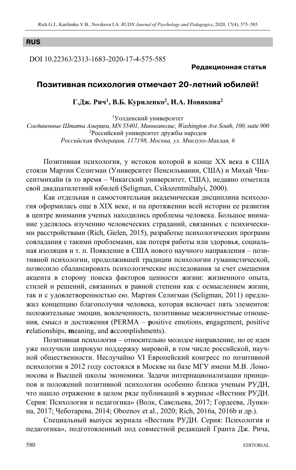### **RUS**

DOI 10.22363/2313-1683-2020-17-4-575-585

#### **Редакционная статья**

## **Позитивная психология отмечает 20летний юбилей!**

## **Г.Дж. Рич1, В.Б. Куриленко2 , И.А. Новикова2**

1 Уолденский университет

*Соединенные Штаты Америки, MN 55401, Миннеаполис, Washington Ave South, 100, suite 900*  2 Российский университет дружбы народов *Российская Федерация, 117198, Москва, ул. Миклухо-Маклая, 6* 

Позитивная психология, у истоков которой в конце ХХ века в США стояли Мартин Селигман (Университет Пенсильвании, США) и Михай Чиксентмихайи (в то время – Чикагский университет, США), недавно отметила свой двадцатилетний юбилей (Seligman, Csikszentmihalyi, 2000).

Как отдельная и самостоятельная академическая дисциплина психология оформилась еще в XIX веке, и на протяжении всей истории ее развития в центре внимания ученых находились проблемы человека. Большое внимание уделялось изучению человеческих страданий, связанных с психическими расстройствами (Rich, Gielen, 2015), разработке психологических программ совладания с такими проблемами, как потеря работы или здоровья, социальная изоляция и т. п. Появление в США нового научного направления – позитивной психологии, продолжившей традиции психологии гуманистической, позволило сбалансировать психологические исследования за счет смещения акцента в сторону поиска факторов ценности жизни: жизненного опыта, стилей и решений, связанных в равной степени как с осмыслением жизни, так и с удовлетворенностью ею. Мартин Селигман (Seligman, 2011) предложил концепцию благополучия человека, которая включает пять элементов: положительные эмоции, вовлеченность, позитивные межличностные отношения, смысл и достижения (PERMA – **p**ositive emotions, **e**ngagement, positive **r**elationships, **m**eaning, and **a**ccomplishments).

Позитивная психология – относительно молодое направление, но ее идеи уже получили широкую поддержку мировой, в том числе российской, научной общественности. Неслучайно VI Европейский конгресс по позитивной психологии в 2012 году состоялся в Москве на базе МГУ имени М.В. Ломоносова и Высшей школы экономики. Задачи интернационализации принципов и положений позитивной психологии особенно близки ученым РУДН, что нашло отражение в целом ряде публикаций в журнале «Вестник РУДН. Серия: Психология и педагогика» (Волк, Савельева, 2017; Гордеева, Лункина, 2017; Чеботарева, 2014; Oboznov et al., 2020; Rich, 2016a, 2016b и др.).

Специальный выпуск журнала «Вестник РУДН. Серия: Психология и педагогика», подготовленный под совместной редакцией Гранта Дж. Рича,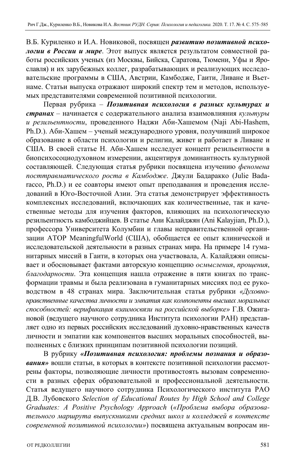В.Б. Куриленко и И.А. Новиковой, посвящен *развитию позитивной психологии в России и мире*. Этот выпуск является результатом совместной работы российских ученых (из Москвы, Бийска, Саратова, Тюмени, Уфы и Ярославля) и их зарубежных коллег, разрабатывающих и реализующих исследовательские программы в США, Австрии, Камбодже, Гаити, Ливане и Вьетнаме. Статьи выпуска отражают широкий спектр тем и методов, используемых представителями современной позитивной психологии.

Первая рубрика – *Позитивная психология в разных культурах и странах* – начинается с содержательного анализа взаимовлияния *культуры и резильентности*, проведенного Наджи Аби-Хашемом (Naji Abi-Hashem, Ph.D.). Аби-Хашем – ученый международного уровня, получивший широкое образование в области психологии и религии, живет и работает в Ливане и США. В своей статье Н. Аби-Хашем исследует концепт резильентности в биопсихосоциодуховном измерении, акцентируя доминантность культурной составляющей. Следующая статья рубрики посвящена изучению *феномена посттравматического роста в Камбодже*. Джули Бадаракко (Julie Badaracco, Ph.D.) и ее соавторы имеют опыт преподавания и проведения исследований в Юго-Восточной Азии. Эта статья демонстрирует эффективность комплексных исследований, включающих как количественные, так и качественные методы для изучения факторов, влияющих на психологическую резильентность камбоджийцев. В статье Ани Калайджян (Ani Kalayjian, Ph.D.), профессора Университета Колумбии и главы неправительственной организации ATOP MeaningfulWorld (США), обобщается ее опыт клинической и исследовательской деятельности в разных странах мира. На примере 14 гуманитарных миссий в Гаити, в которых она участвовала, А. Калайджян описывает и обосновывает фактами авторскую концепцию *осмысления*, *прощения*, *благодарности*. Эта концепция нашла отражение в пяти книгах по трансформации травмы и была реализована в гуманитарных миссиях под ее руководством в 48 странах мира. Заключительная статья рубрики *«Духовнонравственные качества личности и эмпатия как компоненты высших моральных способностей: верификация взаимосвязи на российской выборке»* Г.В. Ожигановой (ведущего научного сотрудника Института психологии РАН) представляет одно из первых российских исследований духовно-нравственных качеств личности и эмпатии как компонентов высших моральных способностей, выполненных с близких принципам позитивной психологии позиций.

В рубрику *«Позитивная психология: проблемы познания и образования»* вошли статьи, в которых в контексте позитивной психологии рассмотрены факторы, позволяющие личности противостоять вызовам современности в разных сферах образовательной и профессиональной деятельности. Статья ведущего научного сотрудника Психологического института РАО Д.В. Лубовского *Selection of Educational Routes by High School and College Graduates: A Positive Psychology Approach* (*«Проблема выбора образовательного маршрута выпускниками средних школ и колледжей в контексте современной позитивной психологии»*) посвящена актуальным вопросам ин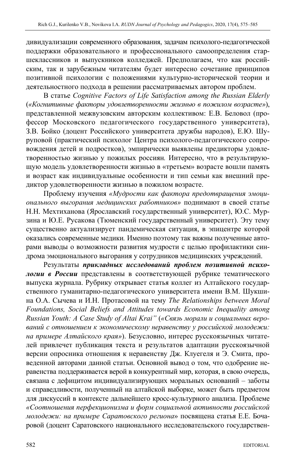дивидуализации современного образования, задачам психолого-педагогической поддержки образовательного и профессионального самоопределения старшеклассников и выпускников колледжей. Предполагаем, что как российским, так и зарубежным читателям будет интересно сочетание принципов позитивной психологии с положениями культурно-исторической теории и деятельностного подхода в решении рассматриваемых автором проблем.

В статье *Cognitive Factors of Life Satisfaction among the Russian Elderly* (*«Когнитивные факторы удовлетворенности жизнью в пожилом возрасте»*), представленной межвузовским авторским коллективом: Е.В. Беловол (профессор Московского педагогического государственного университета), З.В. Бойко (доцент Российского университета дружбы народов), Е.Ю. Шуруповой (практический психолог Центра психолого-педагогического сопровождения детей и подростков), эмпирически выявлены предикторы удовлетворенностью жизнью у пожилых россиян*.* Интересно, что в результирующую модель удовлетворенности жизнью в «третьем» возрасте вошли память и возраст как индивидуальные особенности и тип семьи как внешний предиктор удовлетворенности жизнью в пожилом возрасте.

Проблему изучения *«Мудрости как фактора предотвращения эмоционального выгорания медицинских работников»* поднимают в своей статье Н.Н. Мехтиханова (Ярославский государственный университет), Ю.С. Мурзина и Ю.Е. Русакова (Тюменский государственный университет). Эту тему существенно актуализирует пандемическая ситуация, в эпицентре которой оказались современные медики*.* Именно поэтому так важны полученные авторами выводы о возможности развития мудрости с целью профилактики синдрома эмоционального выгорания у сотрудников медицинских учреждений.

Результаты *прикладных исследований проблем позитивной психологии в России* представлены в соответствующей рубрике тематического выпуска журнала. Рубрику открывает статья коллег из Алтайского государственного гуманитарно-педагогического университета имени В.М. Шукшина О.А. Сычева и И.Н. Протасовой на тему *The Relationships between Moral Foundations, Social Beliefs and Attitudes towards Economic Inequality among Russian Youth: A Case Study of Altai Krai"* (*«Связь морали и социальных верований с отношением к экономическому неравенству у российской молодежи: на примере Алтайского края»*). Безусловно, интерес русскоязычных читателей привлечет публикация текста и результатов адаптации русскоязычной версии опросника отношения к неравенству Дж. Клуегеля и Э. Смита, проведенной авторами данной статьи. Основной вывод о том, что одобрение неравенства поддерживается верой в конкурентный мир, которая, в свою очередь, связана с дефицитом индивидуализирующих моральных оснований – заботы и справедливости, полученный на алтайской выборке, может быть предметом для дискуссий в контексте дальнейшего кросс-культурного анализа. Проблеме *«Соотношения перфекционизма и форм социальной активности российской молодежи: на примере Саратовского региона*» посвящена статья Е.Е. Бочаровой (доцент Саратовского национального исследовательского государствен-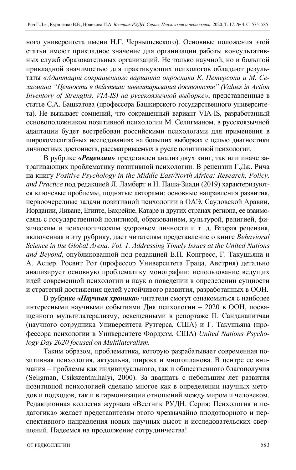ного университета имени Н.Г. Чернышевского). Основные положения этой статьи имеют прикладное значение для организации работы консультативных служб образовательных организаций. Не только научной, но и большой прикладной значимостью для практикующих психологов обладают результаты *«Адаптации сокращенного варианта опросника К. Петерсона и М. Селигмана "Ценности в действии: инвентаризация достоинств" (Values in Action Inventory of Strengths, VIA-IS) на русскоязычной выборке»*, представленные в статье С.А. Башкатова (профессора Башкирского государственного университета). Не вызывает сомнений, что сокращенный вариант VIA-IS, разработанный основоположником позитивной психологии М. Селигманом, в русскоязычной адаптации будет востребован российскими психологами для применения в широкомасштабных исследованиях на больших выборках с целью диагностики личностных достоинств, рассматриваемых в русле позитивной психологии.

В рубрике *«Рецензии»* представлен анализ двух книг, так или иначе затрагивающих проблематику позитивной психологии. В рецензии Г.Дж. Рича на книгу *Positive Psychology in the Middle East/North Africa: Research, Policy, and Practice* под редакцией Л. Ламберт и Н. Паша-Зиади (2019) характеризуются ключевые проблемы, поднятые авторами: основные направления развития, первоочередные задачи позитивной психологии в ОАЭ, Саудовской Аравии, Иордании, Ливане, Египте, Бахрейне, Катаре и других странах региона, ее взаимосвязь с государственной политикой, образованием, культурой, религией, физическим и психологическим здоровьем личности и т. д. Вторая рецензия, включенная в эту рубрику, даст читателям представление о книге *Behavioral Science in the Global Arena. Vol. 1. Addressing Timely Issues at the United Nations and Beyond*, опубликованной под редакцией Е.П. Конгресс, Г. Такушьяна и А. Аспер. Росвит Рот (профессор Университета Граца, Австрия) детально анализирует основную проблематику монографии: использование ведущих идей современной психологии и наук о поведении в определении сущности и стратегий достижения целей устойчивого развития, разработанных в ООН.

В рубрике *«Научная хроника»* читатели смогут ознакомиться с наиболее интересными научными событиями Дня психологии – 2020 в ООН, посвященного мультилатерализму, освещенными в репортаже П. Санданапитчаи (научного сотрудника Университета Рутгерса, США) и Г. Такушьяна (профессора психологии в Университете Фордхэм, США) *United Nations Psychology Day 2020 focused on Multilateralism.* 

Таким образом, проблематика, которую разрабатывает современная позитивная психология, актуальна, широка и многопланова. В центре ее внимания – проблемы как индивидуального, так и общественного благополучия (Seligman, Csikszentmihalyi, 2000). За двадцать с небольшим лет развития позитивной психологией сделано многое как в определении научных методов и подходов, так и в гармонизации отношений между миром и человеком. Редакционная коллегия журнала «Вестник РУДН. Серия: Психология и педагогика» желает представителям этого чрезвычайно плодотворного и перспективного направления новых научных высот и исследовательских свершений. Надеемся на продолжение сотрудничества!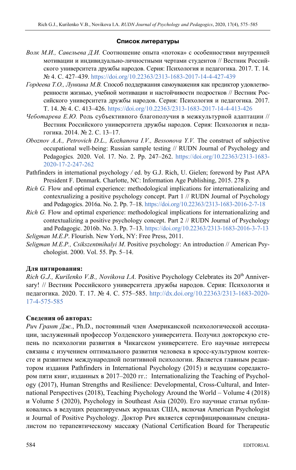### **Список литературы**

- *Волк М.И., Савельева Д.И.* Соотношение опыта «потока» с особенностями внутренней мотивации и индивидуально-личностными чертами студентов // Вестник Российского университета дружбы народов. Серия: Психология и педагогика. 2017. Т. 14. № 4. C. 427–439. https://doi.org/10.22363/2313-1683-2017-14-4-427-439
- *Гордеева Т.О., Лункина М.В.* Способ поддержания самоуважения как предиктор удовлетворенности жизнью, учебной мотивации и настойчивости подростков // Вестник Российского университета дружбы народов. Серия: Психология и педагогика. 2017. Т. 14. № 4. C. 413–426. https://doi.org/10.22363/2313-1683-2017-14-4-413-426
- *Чеботарева Е.Ю.* Роль субъективного благополучия в межкультурной адаптации // Вестник Российского университета дружбы народов. Серия: Психология и педагогика. 2014. № 2. C. 13–17.
- *Oboznov A.A., Petrovich D.L., Kozhanova I.V., Bessonova Y.V.* The construct of subjective occupational well-being: Russian sample testing // RUDN Journal of Psychology and Pedagogics*.* 2020. Vol. 17. No. 2. Pp. 247–262. https://doi.org/10.22363/2313-1683- 2020-17-2-247-262
- Pathfinders in international psychology */* ed. by G.J. Rich, U. Gielen; foreword by Past APA President F. Denmark. Charlotte, NC: Information Age Publishing, 2015. 278 p.
- *Rich G.* Flow and optimal experience: methodological implications for internationalizing and contexrualizing a positive psychology concept. Part 1 // RUDN Journal of Psychology and Pedagogics. 2016a. No. 2. Pp. 7–18. https://doi.org/10.22363/2313-1683-2016-2-7-18
- *Rich G.* Flow and optimal experience: methodological implications for internationalizing and contextualizing a positive psychology concept. Part 2 // RUDN Journal of Psychology and Pedagogic. 2016b. No. 3. Pp. 7–13. https://doi.org/10.22363/2313-1683-2016-3-7-13 *Seligman M.E.P*. Flourish. New York, NY: Free Press, 2011.
- *Seligman M.E.P., Csikszentmihalyi M*. Positive psychology: An introduction // American Psychologist. 2000. Vol. 55. Pp. 5–14.

## **Для цитирования:**

*Rich G.J., Kurilenko V.B., Novikova I.A.* Positive Psychology Celebrates its 20<sup>th</sup> Anniversary! // Вестник Российского университета дружбы народов. Серия: Психология и педагогика. 2020. Т. 17. № 4. С. 575–585. http://dx.doi.org/10.22363/2313-1683-2020- 17-4-575-585

## **Сведения об авторах:**

*Рич Грант Дж.*, Ph.D., постоянный член Американской психологической ассоциации, заслуженный профессор Уолденского университета. Получил докторскую степень по психологии развития в Чикагском университете. Его научные интересы связаны с изучением оптимального развития человека в кросс-культурном контексте и развитием международной позитивной психологии. Является главным редактором издания Pathfinders in International Psychology (2015) и ведущим соредактором пяти книг, изданных в 2017–2020 гг.: Internationalizing the Teaching of Psychology (2017), Human Strengths and Resilience: Developmental, Cross-Cultural, and International Perspectives (2018), Teaching Psychology Around the World – Volume 4 (2018) и Volume 5 (2020), Psychology in Southeast Asia (2020). Его научные статьи публиковались в ведущих рецензируемых журналах США, включая American Psychologist и Journal of Positive Psychology. Доктор Рич является сертифицированным специалистом по терапевтическому массажу (National Certification Board for Therapeutic